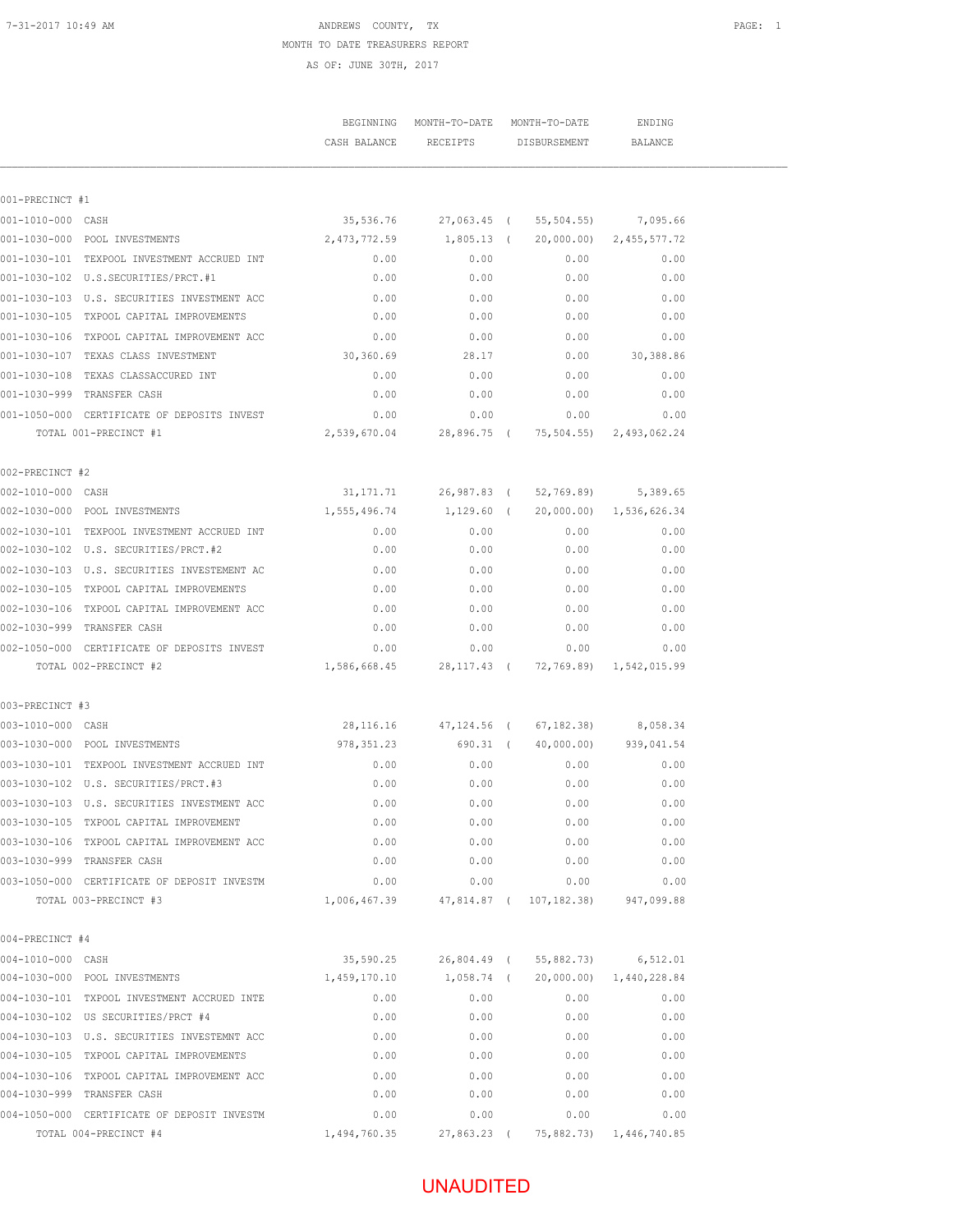# 7-31-2017 10:49 AM **ANDREWS** COUNTY, TX MONTH TO DATE TREASURERS REPORT

AS OF: JUNE 30TH, 2017

|                   |                                                                           |                                                          | BEGINNING MONTH-TO-DATE MONTH-TO-DATE<br>CASH BALANCE RECEIPTS DISBURSEMENT BALANCE |              | ENDING                              |  |
|-------------------|---------------------------------------------------------------------------|----------------------------------------------------------|-------------------------------------------------------------------------------------|--------------|-------------------------------------|--|
| 001-PRECINCT #1   |                                                                           |                                                          |                                                                                     |              |                                     |  |
| 001-1010-000 CASH |                                                                           |                                                          | 35,536.76 27,063.45 ( 55,504.55) 7,095.66                                           |              |                                     |  |
|                   | 001-1030-000 POOL INVESTMENTS                                             | $2,473,772.59$ $1,805.13$ ( $20,000.00$ ) $2,455,577.72$ |                                                                                     |              |                                     |  |
|                   | 001-1030-101 TEXPOOL INVESTMENT ACCRUED INT                               | 0.00                                                     | 0.00                                                                                | 0.00         | 0.00                                |  |
|                   | 001-1030-102 U.S.SECURITIES/PRCT.#1                                       | 0.00                                                     | 0.00                                                                                | 0.00         | 0.00                                |  |
|                   | 001-1030-103 U.S. SECURITIES INVESTMENT ACC                               | 0.00                                                     | 0.00                                                                                | 0.00         | 0.00                                |  |
|                   | 001-1030-105 TXPOOL CAPITAL IMPROVEMENTS                                  | 0.00                                                     | 0.00                                                                                | 0.00         | 0.00                                |  |
|                   | 001-1030-106 TXPOOL CAPITAL IMPROVEMENT ACC                               | 0.00                                                     | 0.00                                                                                | 0.00         | 0.00                                |  |
|                   | 001-1030-107 TEXAS CLASS INVESTMENT                                       | 30,360.69                                                | 28.17                                                                               | 0.00         | 30,388.86                           |  |
|                   | 001-1030-108 TEXAS CLASSACCURED INT                                       | 0.00                                                     | 0.00                                                                                | 0.00         | 0.00                                |  |
|                   | 001-1030-999 TRANSFER CASH                                                | 0.00                                                     | 0.00                                                                                | 0.00         | 0.00                                |  |
|                   | 0.00 CERTIFICATE OF DEPOSITS INVEST 0.00                                  |                                                          | 0.00                                                                                | 0.00         | 0.00                                |  |
|                   | TOTAL 001-PRECINCT #1                                                     | 2,539,670.04 28,896.75 ( 75,504.55) 2,493,062.24         |                                                                                     |              |                                     |  |
| 002-PRECINCT #2   |                                                                           |                                                          |                                                                                     |              |                                     |  |
| 002-1010-000 CASH |                                                                           |                                                          | 31, 171. 71 26, 987.83 (52, 769.89) 5, 389.65                                       |              |                                     |  |
|                   | 002-1030-000 POOL INVESTMENTS                                             | $1,555,496.74$ $1,129.60$ ( 20,000.00) $1,536,626.34$    |                                                                                     |              |                                     |  |
|                   | 002-1030-101 TEXPOOL INVESTMENT ACCRUED INT                               | 0.00                                                     | 0.00                                                                                | 0.00         | 0.00                                |  |
|                   |                                                                           | 0.00                                                     | 0.00                                                                                | 0.00         | 0.00                                |  |
|                   | 002-1030-103 U.S. SECURITIES INVESTEMENT AC                               | 0.00                                                     | 0.00                                                                                | 0.00         | 0.00                                |  |
|                   | 002-1030-105 TXPOOL CAPITAL IMPROVEMENTS                                  | 0.00                                                     | 0.00                                                                                | 0.00         | 0.00                                |  |
|                   | 002-1030-106 TXPOOL CAPITAL IMPROVEMENT ACC                               | 0.00                                                     | 0.00                                                                                | 0.00         | 0.00                                |  |
|                   | 002-1030-999 TRANSFER CASH                                                | 0.00                                                     | 0.00                                                                                | 0.00         | 0.00                                |  |
|                   | 002-1050-000 CERTIFICATE OF DEPOSITS INVEST                               | 0.00                                                     | 0.00                                                                                | 0.00         | 0.00                                |  |
|                   | TOTAL 002-PRECINCT #2                                                     |                                                          |                                                                                     |              |                                     |  |
| 003-PRECINCT #3   |                                                                           |                                                          |                                                                                     |              |                                     |  |
| 003-1010-000 CASH |                                                                           |                                                          | 28,116.16 47,124.56 ( 67,182.38) 8,058.34                                           |              |                                     |  |
|                   | 003-1030-000 POOL INVESTMENTS                                             | 978, 351.23 690.31 (40,000.00) 939, 041.54               |                                                                                     |              |                                     |  |
|                   | 003-1030-101 TEXPOOL INVESTMENT ACCRUED INT                               | 0.00                                                     | 0.00                                                                                | 0.00         | 0.00                                |  |
|                   |                                                                           | 0.00                                                     | 0.00                                                                                | 0.00         | 0.00                                |  |
|                   | 003-1030-103 U.S. SECURITIES INVESTMENT ACC                               | 0.00                                                     | 0.00                                                                                | 0.00         | 0.00                                |  |
|                   | 003-1030-105 TXPOOL CAPITAL IMPROVEMENT                                   | 0.00                                                     | 0.00                                                                                | 0.00         | 0.00                                |  |
|                   | 003-1030-106 TXPOOL CAPITAL IMPROVEMENT ACC                               | 0.00                                                     | 0.00                                                                                | 0.00         | 0.00                                |  |
|                   | 003-1030-999 TRANSFER CASH                                                | 0.00                                                     | 0.00                                                                                | 0.00         | 0.00                                |  |
|                   | 003-1050-000 CERTIFICATE OF DEPOSIT INVESTM<br>TOTAL 003-PRECINCT #3      | 0.00                                                     | 0.00<br>1,006,467.39 47,814.87 ( 107,182.38)                                        | 0.00         | 0.00<br>947,099.88                  |  |
|                   |                                                                           |                                                          |                                                                                     |              |                                     |  |
| 004-PRECINCT #4   |                                                                           |                                                          |                                                                                     |              |                                     |  |
| 004-1010-000 CASH |                                                                           |                                                          | 35,590.25 26,804.49 ( 55,882.73) 6,512.01                                           |              |                                     |  |
|                   | 004-1030-000 POOL INVESTMENTS                                             |                                                          |                                                                                     |              |                                     |  |
|                   | 004-1030-101 TXPOOL INVESTMENT ACCRUED INTE                               | 0.00                                                     | 0.00                                                                                | 0.00         | 0.00                                |  |
|                   | 004-1030-102 US SECURITIES/PRCT #4                                        | 0.00                                                     | 0.00                                                                                | 0.00         | 0.00                                |  |
|                   | 004-1030-103 U.S. SECURITIES INVESTEMNT ACC                               | 0.00                                                     | 0.00                                                                                | 0.00         | 0.00                                |  |
|                   | 004-1030-105 TXPOOL CAPITAL IMPROVEMENTS                                  | 0.00                                                     | 0.00                                                                                | 0.00         | 0.00                                |  |
|                   | 004-1030-106 TXPOOL CAPITAL IMPROVEMENT ACC<br>004-1030-999 TRANSFER CASH | 0.00<br>0.00                                             | 0.00<br>0.00                                                                        | 0.00<br>0.00 | 0.00<br>0.00                        |  |
|                   | 004-1050-000 CERTIFICATE OF DEPOSIT INVESTM                               | 0.00                                                     | 0.00                                                                                | 0.00         | 0.00                                |  |
|                   | TOTAL 004-PRECINCT #4                                                     | 1,494,760.35                                             |                                                                                     |              | 27,863.23 ( 75,882.73) 1,446,740.85 |  |
|                   |                                                                           |                                                          |                                                                                     |              |                                     |  |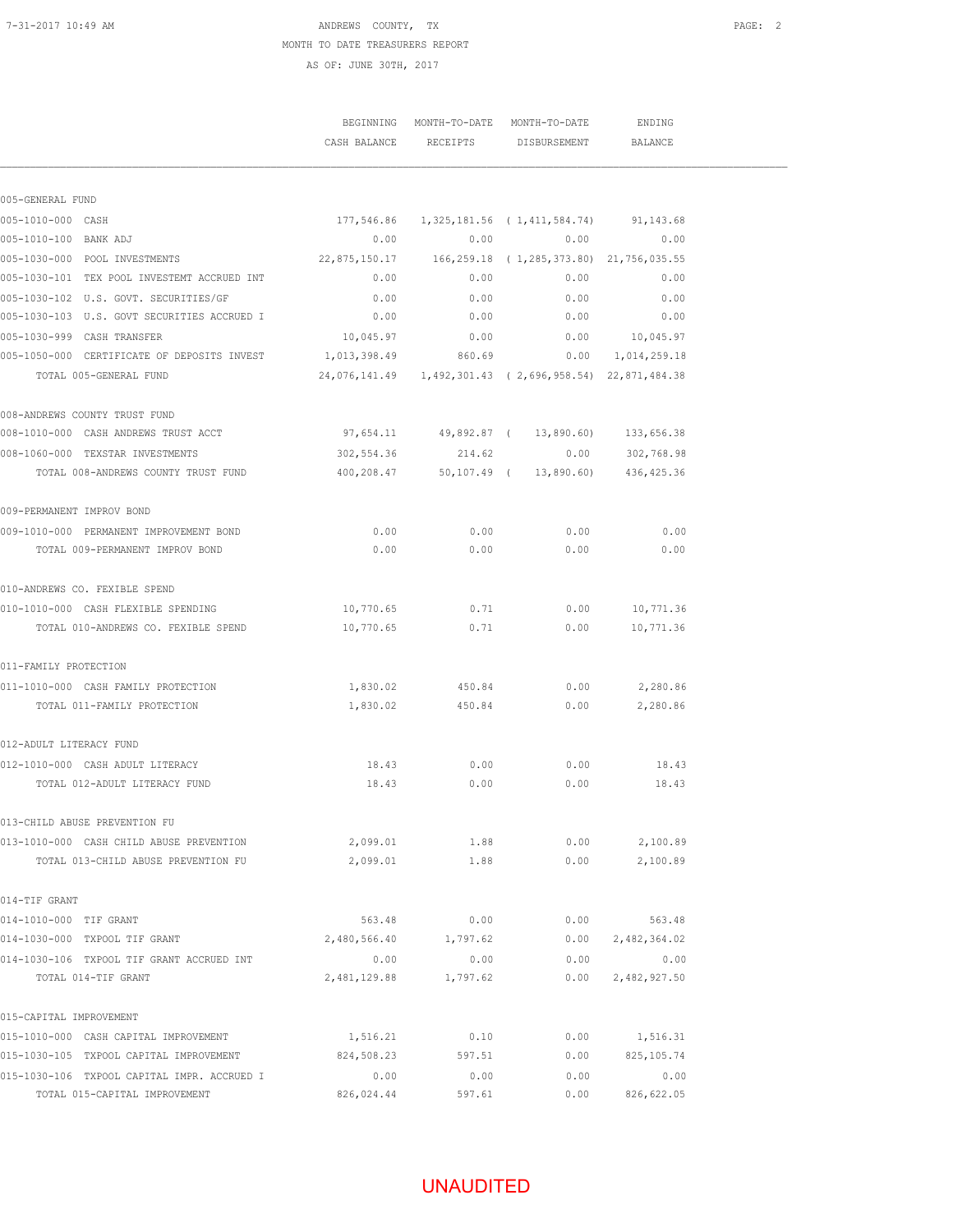### 7-31-2017 10:49 AM **ANDREWS** COUNTY, TX MONTH TO DATE TREASURERS REPORT AS OF: JUNE 30TH, 2017

|                                             |              |                       | BEGINNING MONTH-TO-DATE MONTH-TO-DATE<br>CASH BALANCE RECEIPTS DISBURSEMENT | ENDING<br>BALANCE          |  |
|---------------------------------------------|--------------|-----------------------|-----------------------------------------------------------------------------|----------------------------|--|
|                                             |              |                       |                                                                             |                            |  |
| 005-GENERAL FUND                            |              |                       |                                                                             |                            |  |
| 005-1010-000 CASH                           |              |                       | 177,546.86  1,325,181.56  (1,411,584.74)  91,143.68                         |                            |  |
| 005-1010-100 BANK ADJ                       | 0.00         | 0.00                  |                                                                             | 0.00<br>0.00               |  |
| 005-1030-000 POOL INVESTMENTS               |              |                       |                                                                             |                            |  |
| 005-1030-101 TEX POOL INVESTEMT ACCRUED INT | 0.00         |                       | 0.00<br>0.00                                                                | 0.00                       |  |
| 005-1030-102 U.S. GOVT. SECURITIES/GF       | 0.00         | 0.00                  | 0.00                                                                        | 0.00                       |  |
| 005-1030-103 U.S. GOVT SECURITIES ACCRUED I | 0.00         | 0.00                  | 0.00                                                                        | 0.00                       |  |
| 005-1030-999 CASH TRANSFER                  | 10,045.97    | 0.00                  |                                                                             | $0.00$ 10,045.97           |  |
| 005-1050-000 CERTIFICATE OF DEPOSITS INVEST | 1,013,398.49 | 860.69                |                                                                             | $0.00 \qquad 1,014,259.18$ |  |
| TOTAL 005-GENERAL FUND                      |              |                       | 24,076,141.49   1,492,301.43   ( 2,696,958.54)   22,871,484.38              |                            |  |
| 008-ANDREWS COUNTY TRUST FUND               |              |                       |                                                                             |                            |  |
| 008-1010-000 CASH ANDREWS TRUST ACCT        |              |                       | 97,654.11 49,892.87 ( 13,890.60) 133,656.38                                 |                            |  |
| 008-1060-000 TEXSTAR INVESTMENTS            | 302,554.36   |                       | 214.62 0.00 302,768.98                                                      |                            |  |
| TOTAL 008-ANDREWS COUNTY TRUST FUND         |              |                       | 400,208.47 50,107.49 ( 13,890.60) 436,425.36                                |                            |  |
| 009-PERMANENT IMPROV BOND                   |              |                       |                                                                             |                            |  |
| 009-1010-000 PERMANENT IMPROVEMENT BOND     | 0.00         | 0.00                  | 0.00                                                                        | 0.00                       |  |
| TOTAL 009-PERMANENT IMPROV BOND             | 0.00         | 0.00                  | 0.00                                                                        | 0.00                       |  |
| 010-ANDREWS CO. FEXIBLE SPEND               |              |                       |                                                                             |                            |  |
| 010-1010-000 CASH FLEXIBLE SPENDING         | 10,770.65    | 0.71                  | 0.00                                                                        | 10,771.36                  |  |
| TOTAL 010-ANDREWS CO. FEXIBLE SPEND         | 10,770.65    | 0.71                  | 0.00                                                                        | 10,771.36                  |  |
| 011-FAMILY PROTECTION                       |              |                       |                                                                             |                            |  |
| 011-1010-000 CASH FAMILY PROTECTION         |              | 1,830.02 450.84       |                                                                             | $0.00$ 2,280.86            |  |
| TOTAL 011-FAMILY PROTECTION                 |              | 1,830.02 450.84       | 0.00                                                                        | 2,280.86                   |  |
| 012-ADULT LITERACY FUND                     |              |                       |                                                                             |                            |  |
| 012-1010-000 CASH ADULT LITERACY            | 18.43        | 0.00                  | 0.00                                                                        | 18.43                      |  |
| TOTAL 012-ADULT LITERACY FUND               | 18.43        | 0.00                  | 0.00                                                                        | 18.43                      |  |
| 013-CHILD ABUSE PREVENTION FU               |              |                       |                                                                             |                            |  |
| 013-1010-000 CASH CHILD ABUSE PREVENTION    | 2,099.01     | 1.88                  | 0.00                                                                        | 2,100.89                   |  |
| TOTAL 013-CHILD ABUSE PREVENTION FU         | 2,099.01     | 1.88                  | 0.00                                                                        | 2,100.89                   |  |
| 014-TIF GRANT                               |              |                       |                                                                             |                            |  |
| 014-1010-000 TIF GRANT                      |              | 563.48 0.00           |                                                                             | $0.00$ 563.48              |  |
| 014-1030-000 TXPOOL TIF GRANT               |              |                       | 2,480,566.40 1,797.62 0.00                                                  | 2,482,364.02               |  |
| 014-1030-106 TXPOOL TIF GRANT ACCRUED INT   | 0.00         |                       | $0.00$ 0.00 0.00                                                            |                            |  |
| TOTAL 014-TIF GRANT                         |              | 2,481,129.88 1,797.62 | 0.00                                                                        | 2,482,927.50               |  |
| 015-CAPITAL IMPROVEMENT                     |              |                       |                                                                             |                            |  |
| 015-1010-000 CASH CAPITAL IMPROVEMENT       | 1,516.21     | 0.10                  | 0.00                                                                        | 1,516.31                   |  |
| 015-1030-105 TXPOOL CAPITAL IMPROVEMENT     | 824,508.23   | 597.51                | 0.00                                                                        | 825,105.74                 |  |
| 015-1030-106 TXPOOL CAPITAL IMPR. ACCRUED I | 0.00         | 0.00                  | 0.00                                                                        | 0.00                       |  |
| TOTAL 015-CAPITAL IMPROVEMENT               | 826,024.44   | 597.61                | 0.00                                                                        | 826,622.05                 |  |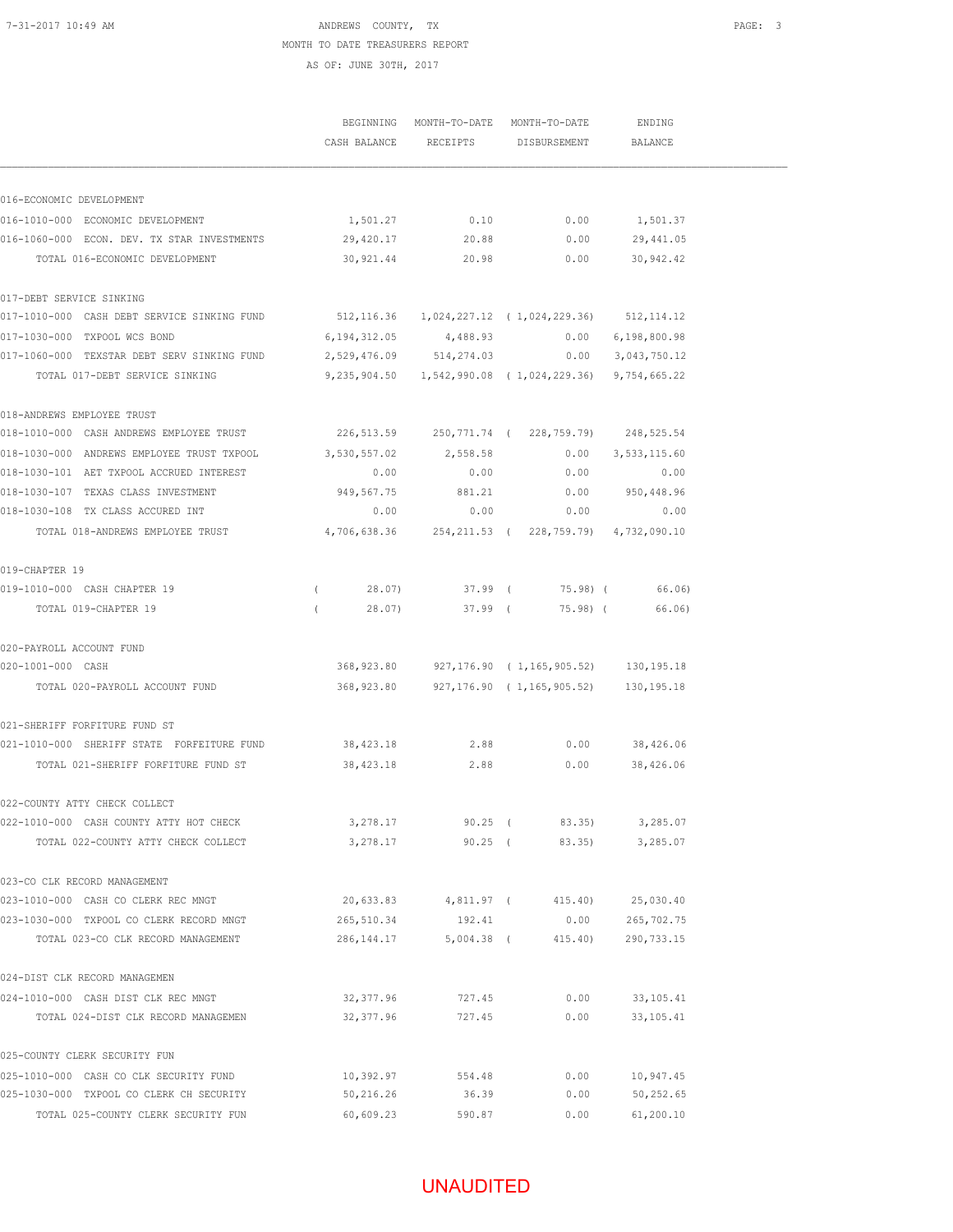### 7-31-2017 10:49 AM ANDREWS COUNTY, TX PAGE: 3 MONTH TO DATE TREASURERS REPORT AS OF: JUNE 30TH, 2017

|                                                                                               |                                                 | BEGINNING MONTH-TO-DATE MONTH-TO-DATE<br>CASH BALANCE RECEIPTS | DISBURSEMENT                                             | ENDING<br><b>BALANCE</b> |  |
|-----------------------------------------------------------------------------------------------|-------------------------------------------------|----------------------------------------------------------------|----------------------------------------------------------|--------------------------|--|
|                                                                                               |                                                 |                                                                |                                                          |                          |  |
| 016-ECONOMIC DEVELOPMENT                                                                      |                                                 |                                                                |                                                          |                          |  |
| 016-1010-000 ECONOMIC DEVELOPMENT                                                             | 1,501.27                                        |                                                                | $0.10$ 0.00                                              | 1,501.37                 |  |
| 016-1060-000 ECON. DEV. TX STAR INVESTMENTS                                                   | 29,420.17                                       | 20.88                                                          | 0.00                                                     | 29,441.05                |  |
| TOTAL 016-ECONOMIC DEVELOPMENT                                                                |                                                 |                                                                | 30,921.44 20.98 0.00 30,942.42                           |                          |  |
| 017-DEBT SERVICE SINKING                                                                      |                                                 |                                                                |                                                          |                          |  |
| 017-1010-000 CASH DEBT SERVICE SINKING FUND 512,116.36 1,024,227.12 (1,024,229.36) 512,114.12 |                                                 |                                                                |                                                          |                          |  |
| 017-1030-000 TXPOOL WCS BOND                                                                  | $6,194,312.05$ $4,488.93$ $0.00$ $6,198,800.98$ |                                                                |                                                          |                          |  |
| 017-1060-000 TEXSTAR DEBT SERV SINKING FUND 2,529,476.09 514,274.03 0.00 3,043,750.12         |                                                 |                                                                |                                                          |                          |  |
| TOTAL 017-DEBT SERVICE SINKING                                                                |                                                 |                                                                | 9,235,904.50  1,542,990.08  (1,024,229.36)  9,754,665.22 |                          |  |
| 018-ANDREWS EMPLOYEE TRUST                                                                    |                                                 |                                                                |                                                          |                          |  |
| 018-1010-000 CASH ANDREWS EMPLOYEE TRUST 226,513.59 250,771.74 (228,759.79) 248,525.54        |                                                 |                                                                |                                                          |                          |  |
| 018-1030-000 ANDREWS EMPLOYEE TRUST TXPOOL                                                    | 3,530,557.02                                    | 2,558.58                                                       |                                                          | $0.00$ 3,533,115.60      |  |
| 018-1030-101 AET TXPOOL ACCRUED INTEREST                                                      | 0.00                                            | 0.00                                                           | 0.00                                                     | 0.00                     |  |
| 018-1030-107 TEXAS CLASS INVESTMENT                                                           | 949,567.75                                      | 881.21                                                         |                                                          | $0.00$ 950,448.96        |  |
| 018-1030-108 TX CLASS ACCURED INT                                                             | 0.00                                            | 0.00                                                           | 0.00                                                     | 0.00                     |  |
| TOTAL 018-ANDREWS EMPLOYEE TRUST 4,706,638.36 254,211.53 (228,759.79) 4,732,090.10            |                                                 |                                                                |                                                          |                          |  |
| 019-CHAPTER 19                                                                                |                                                 |                                                                |                                                          |                          |  |
| 019-1010-000 CASH CHAPTER 19                                                                  |                                                 |                                                                | $(28.07)$ 37.99 (75.98) (66.06)                          |                          |  |
| TOTAL 019-CHAPTER 19                                                                          | 28.07)<br>$\sqrt{2}$                            | $37.99$ (                                                      |                                                          | 75.98) (66.06)           |  |
| 020-PAYROLL ACCOUNT FUND                                                                      |                                                 |                                                                |                                                          |                          |  |
| 020-1001-000 CASH                                                                             | 368,923.80                                      |                                                                | 927,176.90 (1,165,905.52) 130,195.18                     |                          |  |
| TOTAL 020-PAYROLL ACCOUNT FUND                                                                |                                                 |                                                                | 368,923.80 927,176.90 (1,165,905.52) 130,195.18          |                          |  |
| 021-SHERIFF FORFITURE FUND ST                                                                 |                                                 |                                                                |                                                          |                          |  |
| 021-1010-000 SHERIFF STATE FORFEITURE FUND 38,423.18 2.88 0.00 38,426.06                      |                                                 |                                                                |                                                          |                          |  |
| TOTAL 021-SHERIFF FORFITURE FUND ST 38,423.18 2.88 0.00 38,426.06                             |                                                 |                                                                |                                                          |                          |  |
| 022-COUNTY ATTY CHECK COLLECT                                                                 |                                                 |                                                                |                                                          |                          |  |
| 022-1010-000 CASH COUNTY ATTY HOT CHECK                                                       | 3,278.17                                        | $90.25$ (                                                      | 83.35)                                                   | 3,285.07                 |  |
| TOTAL 022-COUNTY ATTY CHECK COLLECT                                                           | 3,278.17                                        | $90.25$ (                                                      | 83.35)                                                   | 3,285.07                 |  |
| 023-CO CLK RECORD MANAGEMENT                                                                  |                                                 |                                                                |                                                          |                          |  |
| 023-1010-000 CASH CO CLERK REC MNGT                                                           | 20,633.83                                       | 4,811.97 (                                                     | 415.40)                                                  | 25,030.40                |  |
| 023-1030-000 TXPOOL CO CLERK RECORD MNGT                                                      | 265,510.34                                      | 192.41                                                         | 0.00                                                     | 265,702.75               |  |
| TOTAL 023-CO CLK RECORD MANAGEMENT                                                            | 286, 144. 17                                    | $5,004.38$ (                                                   | 415.40)                                                  | 290,733.15               |  |
| 024-DIST CLK RECORD MANAGEMEN                                                                 |                                                 |                                                                |                                                          |                          |  |
| 024-1010-000 CASH DIST CLK REC MNGT                                                           | 32,377.96                                       | 727.45                                                         | 0.00                                                     | 33, 105.41               |  |
| TOTAL 024-DIST CLK RECORD MANAGEMEN                                                           | 32, 377.96                                      | 727.45                                                         | 0.00                                                     | 33, 105.41               |  |
| 025-COUNTY CLERK SECURITY FUN                                                                 |                                                 |                                                                |                                                          |                          |  |
| 025-1010-000 CASH CO CLK SECURITY FUND                                                        | 10,392.97                                       | 554.48                                                         | 0.00                                                     | 10,947.45                |  |
| 025-1030-000 TXPOOL CO CLERK CH SECURITY                                                      | 50,216.26                                       | 36.39                                                          | 0.00                                                     | 50,252.65                |  |
| TOTAL 025-COUNTY CLERK SECURITY FUN                                                           | 60,609.23                                       | 590.87                                                         | 0.00                                                     | 61, 200.10               |  |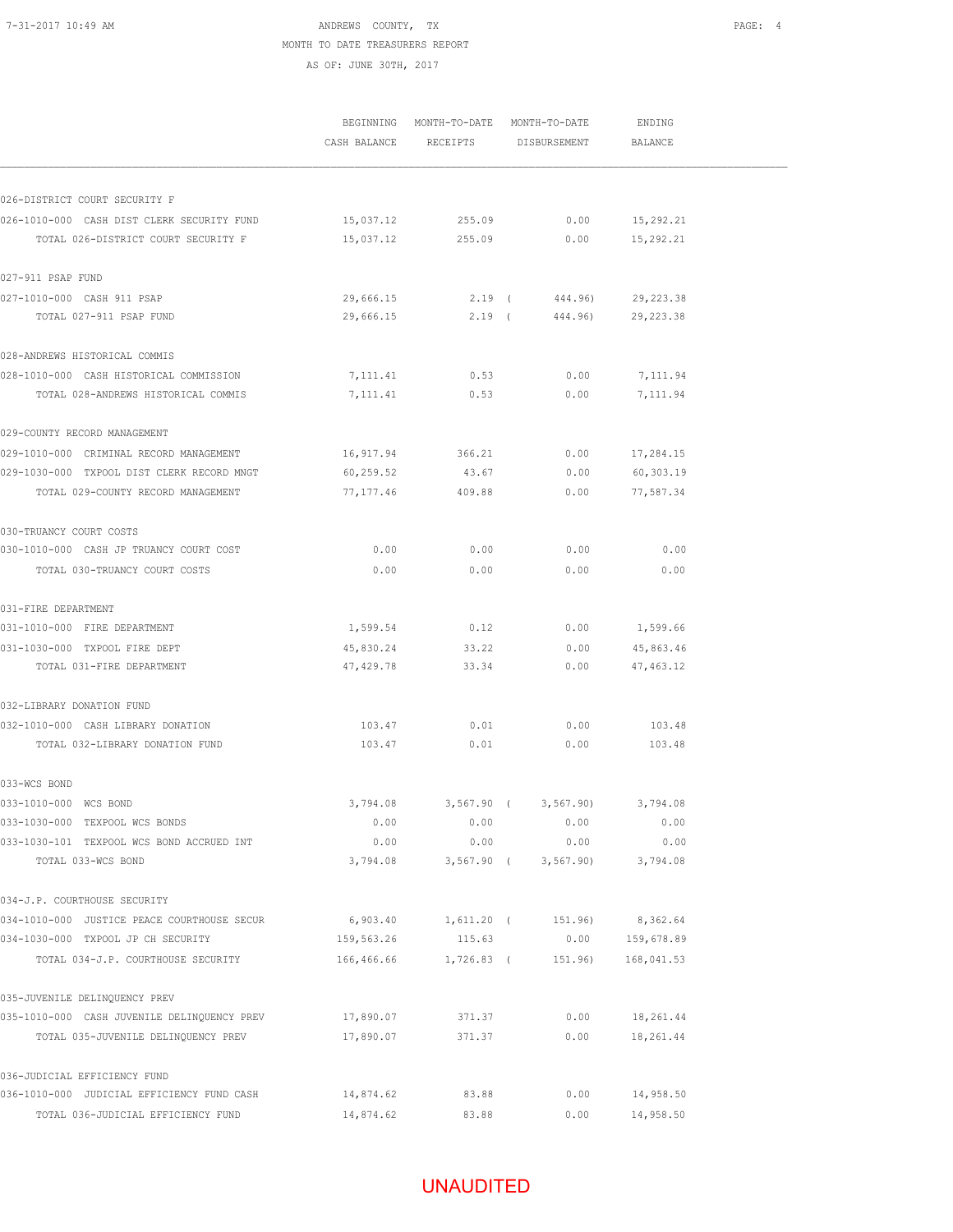# 7-31-2017 10:49 AM **ANDREWS** COUNTY, TX MONTH TO DATE TREASURERS REPORT

AS OF: JUNE 30TH, 2017

|                                                       |              | BEGINNING MONTH-TO-DATE MONTH-TO-DATE |                              | ENDING     |  |
|-------------------------------------------------------|--------------|---------------------------------------|------------------------------|------------|--|
|                                                       | CASH BALANCE | RECEIPTS                              | DISBURSEMENT                 | BALANCE    |  |
|                                                       |              |                                       |                              |            |  |
| 026-DISTRICT COURT SECURITY F                         |              |                                       |                              |            |  |
| 026-1010-000 CASH DIST CLERK SECURITY FUND            | 15,037.12    | 255.09                                | 0.00                         | 15,292.21  |  |
| TOTAL 026-DISTRICT COURT SECURITY F                   | 15,037.12    | 255.09                                | 0.00                         | 15,292.21  |  |
| 027-911 PSAP FUND                                     |              |                                       |                              |            |  |
| 027-1010-000 CASH 911 PSAP                            | 29,666.15    |                                       | 2.19 (444.96)                | 29,223.38  |  |
| TOTAL 027-911 PSAP FUND                               | 29,666.15    |                                       | 2.19 ( 444.96)               | 29, 223.38 |  |
| 028-ANDREWS HISTORICAL COMMIS                         |              |                                       |                              |            |  |
| 028-1010-000 CASH HISTORICAL COMMISSION               | 7,111.41     | 0.53                                  | 0.00                         | 7,111.94   |  |
| TOTAL 028-ANDREWS HISTORICAL COMMIS                   | 7,111.41     | 0.53                                  | 0.00                         | 7,111.94   |  |
| 029-COUNTY RECORD MANAGEMENT                          |              |                                       |                              |            |  |
| 029-1010-000 CRIMINAL RECORD MANAGEMENT               | 16,917.94    | 366.21                                | 0.00                         | 17,284.15  |  |
| 029-1030-000 TXPOOL DIST CLERK RECORD MNGT            | 60,259.52    | 43.67                                 | 0.00                         | 60,303.19  |  |
| TOTAL 029-COUNTY RECORD MANAGEMENT                    | 77,177.46    | 409.88                                | 0.00                         | 77,587.34  |  |
| 030-TRUANCY COURT COSTS                               |              |                                       |                              |            |  |
| 030-1010-000 CASH JP TRUANCY COURT COST               | 0.00         | 0.00                                  | 0.00                         | 0.00       |  |
| TOTAL 030-TRUANCY COURT COSTS                         | 0.00         | 0.00                                  | 0.00                         | 0.00       |  |
| 031-FIRE DEPARTMENT                                   |              |                                       |                              |            |  |
| 031-1010-000 FIRE DEPARTMENT                          | 1,599.54     | 0.12                                  | 0.00                         | 1,599.66   |  |
| 031-1030-000 TXPOOL FIRE DEPT                         | 45,830.24    | 33.22                                 | 0.00                         | 45,863.46  |  |
| TOTAL 031-FIRE DEPARTMENT                             | 47,429.78    | 33.34                                 | 0.00                         | 47, 463.12 |  |
| 032-LIBRARY DONATION FUND                             |              |                                       |                              |            |  |
| 032-1010-000 CASH LIBRARY DONATION                    | 103.47       | 0.01                                  | 0.00                         | 103.48     |  |
| TOTAL 032-LIBRARY DONATION FUND                       | 103.47       | 0.01                                  | 0.00                         | 103.48     |  |
| 033-WCS BOND                                          |              |                                       |                              |            |  |
| 033-1010-000 WCS BOND                                 |              |                                       | 3,794.08 3,567.90 (3,567.90) | 3,794.08   |  |
| 033-1030-000 TEXPOOL WCS BONDS                        | 0.00         | 0.00                                  | 0.00                         | 0.00       |  |
| 033-1030-101 TEXPOOL WCS BOND ACCRUED INT             | 0.00         | 0.00                                  | 0.00                         | 0.00       |  |
| TOTAL 033-WCS BOND                                    | 3,794.08     | $3,567.90$ (                          | 3,567.90                     | 3,794.08   |  |
| 034-J.P. COURTHOUSE SECURITY                          |              |                                       |                              |            |  |
| 034-1010-000 JUSTICE PEACE COURTHOUSE SECUR           | 6,903.40     | 1,611.20 (                            | 151.96)                      | 8,362.64   |  |
| 034-1030-000 TXPOOL JP CH SECURITY                    | 159,563.26   | 115.63                                | 0.00                         | 159,678.89 |  |
| TOTAL 034-J.P. COURTHOUSE SECURITY                    | 166,466.66   |                                       | $1,726.83$ ( $151.96$ )      | 168,041.53 |  |
| 035-JUVENILE DELINQUENCY PREV                         |              |                                       |                              |            |  |
| 035-1010-000 CASH JUVENILE DELINQUENCY PREV 17,890.07 |              | 371.37                                | 0.00                         | 18,261.44  |  |
| TOTAL 035-JUVENILE DELINQUENCY PREV                   | 17,890.07    | 371.37                                | 0.00                         | 18,261.44  |  |
| 036-JUDICIAL EFFICIENCY FUND                          |              |                                       |                              |            |  |
| 036-1010-000 JUDICIAL EFFICIENCY FUND CASH            | 14,874.62    | 83.88                                 | 0.00                         | 14,958.50  |  |
| TOTAL 036-JUDICIAL EFFICIENCY FUND                    | 14,874.62    | 83.88                                 | 0.00                         | 14,958.50  |  |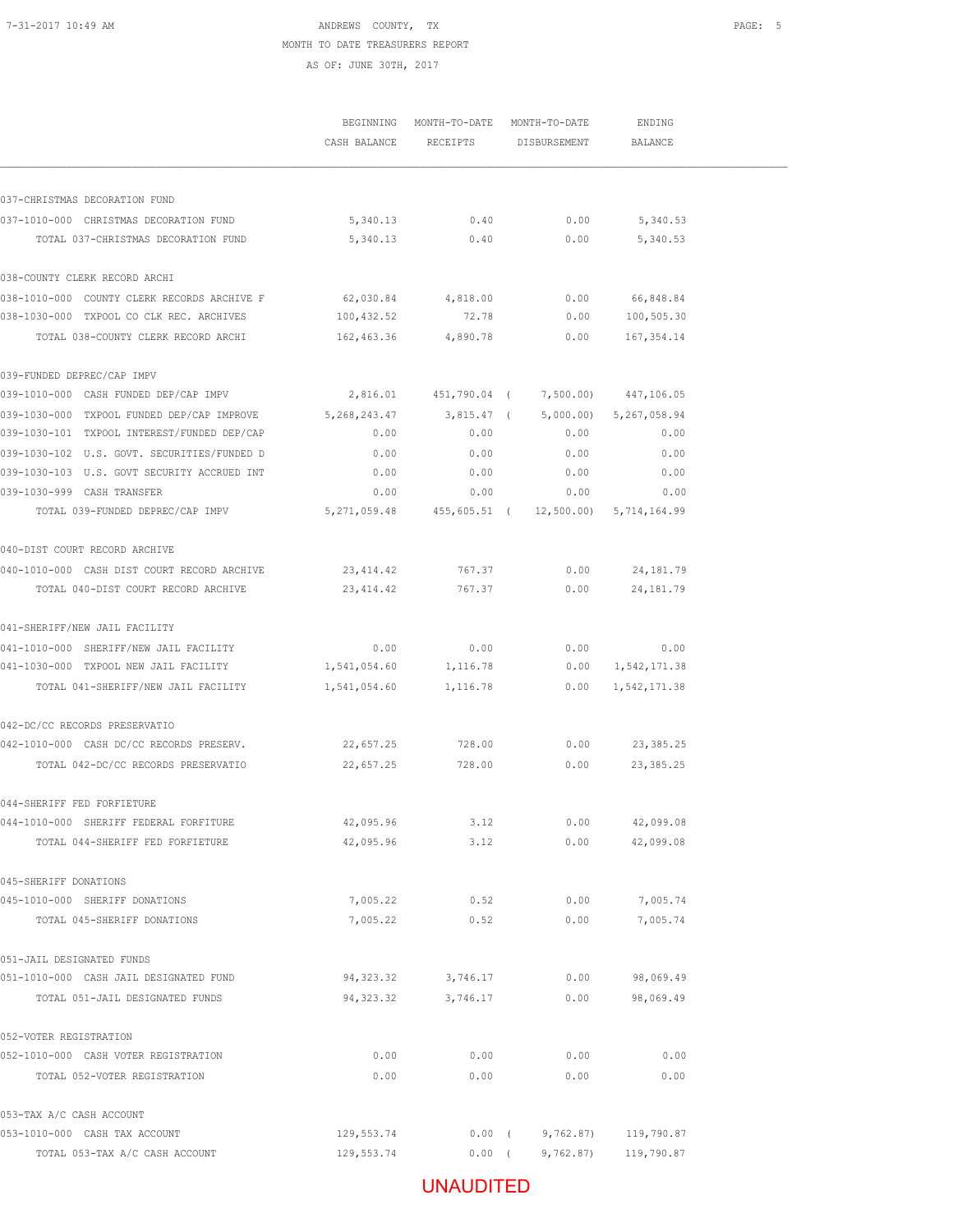# UNAUDITED

|                                             | BEGINNING      | MONTH-TO-DATE | MONTH-TO-DATE                        | ENDING               |
|---------------------------------------------|----------------|---------------|--------------------------------------|----------------------|
|                                             | CASH BALANCE   | RECEIPTS      | DISBURSEMENT                         | <b>BALANCE</b>       |
| 037-CHRISTMAS DECORATION FUND               |                |               |                                      |                      |
| 037-1010-000 CHRISTMAS DECORATION FUND      | 5,340.13       | 0.40          | 0.00                                 | 5,340.53             |
| TOTAL 037-CHRISTMAS DECORATION FUND         | 5,340.13       | 0.40          | 0.00                                 | 5,340.53             |
| 038-COUNTY CLERK RECORD ARCHI               |                |               |                                      |                      |
| 038-1010-000 COUNTY CLERK RECORDS ARCHIVE F | 62,030.84      | 4,818.00      | 0.00                                 | 66,848.84            |
| 038-1030-000 TXPOOL CO CLK REC. ARCHIVES    | 100,432.52     | 72.78         | 0.00                                 | 100,505.30           |
| TOTAL 038-COUNTY CLERK RECORD ARCHI         | 162,463.36     | 4,890.78      | 0.00                                 | 167, 354.14          |
| 039-FUNDED DEPREC/CAP IMPV                  |                |               |                                      |                      |
| 039-1010-000 CASH FUNDED DEP/CAP IMPV       | 2,816.01       | 451,790.04 (  |                                      | 7,500.00) 447,106.05 |
| 039-1030-000 TXPOOL FUNDED DEP/CAP IMPROVE  | 5,268,243.47   | 3.815.47 (    | 5,000.00)                            | 5,267,058.94         |
| 039-1030-101 TXPOOL INTEREST/FUNDED DEP/CAP | 0.00           | 0.00          | 0.00                                 | 0.00                 |
| 039-1030-102 U.S. GOVT. SECURITIES/FUNDED D | 0.00           | 0.00          | 0.00                                 | 0.00                 |
| 039-1030-103 U.S. GOVT SECURITY ACCRUED INT | 0.00           | 0.00          | 0.00                                 | 0.00                 |
| 039-1030-999 CASH TRANSFER                  | 0.00           | 0.00          | 0.00                                 | 0.00                 |
| TOTAL 039-FUNDED DEPREC/CAP IMPV            | 5, 271, 059.48 |               | 455,605.51 ( 12,500.00) 5,714,164.99 |                      |
| 040-DIST COURT RECORD ARCHIVE               |                |               |                                      |                      |
| 040-1010-000 CASH DIST COURT RECORD ARCHIVE | 23, 414.42     | 767.37        | 0.00                                 | 24, 181.79           |
| TOTAL 040-DIST COURT RECORD ARCHIVE         | 23, 414.42     | 767.37        | 0.00                                 | 24, 181. 79          |
| 041-SHERIFF/NEW JAIL FACILITY               |                |               |                                      |                      |
| 041-1010-000 SHERIFF/NEW JAIL FACILITY      | 0.00           | 0.00          | 0.00                                 | 0.00                 |
| 041-1030-000 TXPOOL NEW JAIL FACILITY       | 1,541,054.60   | 1,116.78      | 0.00                                 | 1,542,171.38         |
| TOTAL 041-SHERIFF/NEW JAIL FACILITY         | 1,541,054.60   | 1,116.78      | 0.00                                 | 1,542,171.38         |
| 042-DC/CC RECORDS PRESERVATIO               |                |               |                                      |                      |
| 042-1010-000 CASH DC/CC RECORDS PRESERV.    | 22,657.25      | 728.00        | 0.00                                 | 23, 385.25           |
| TOTAL 042-DC/CC RECORDS PRESERVATIO         | 22,657.25      | 728.00        | 0.00                                 | 23, 385.25           |
| 044-SHERIFF FED FORFIETURE                  |                |               |                                      |                      |
| 044-1010-000 SHERIFF FEDERAL FORFITURE      | 42,095.96      | 3.12          | 0.00                                 | 42,099.08            |
| TOTAL 044-SHERIFF FED FORFIETURE            | 42,095.96      | 3.12          | 0.00                                 | 42,099.08            |
| 045-SHERIFF DONATIONS                       |                |               |                                      |                      |
| 045-1010-000 SHERIFF DONATIONS              | 7,005.22       | 0.52          | 0.00                                 | 7,005.74             |
| TOTAL 045-SHERIFF DONATIONS                 | 7,005.22       | 0.52          | 0.00                                 | 7,005.74             |
| 051-JAIL DESIGNATED FUNDS                   |                |               |                                      |                      |
| 051-1010-000 CASH JAIL DESIGNATED FUND      | 94,323.32      | 3,746.17      | 0.00                                 | 98,069.49            |
| TOTAL 051-JAIL DESIGNATED FUNDS             | 94, 323.32     | 3,746.17      | 0.00                                 | 98,069.49            |
| 052-VOTER REGISTRATION                      |                |               |                                      |                      |
| 052-1010-000 CASH VOTER REGISTRATION        | 0.00           | 0.00          | 0.00                                 | 0.00                 |
| TOTAL 052-VOTER REGISTRATION                | 0.00           | 0.00          | 0.00                                 | 0.00                 |
| 053-TAX A/C CASH ACCOUNT                    |                |               |                                      |                      |
| 053-1010-000 CASH TAX ACCOUNT               | 129,553.74     |               | 9,762.87<br>$0.00$ (                 | 119,790.87           |
| TOTAL 053-TAX A/C CASH ACCOUNT              | 129,553.74     |               | $0.00$ (<br>9,762.87)                | 119,790.87           |

 MONTH TO DATE TREASURERS REPORT AS OF: JUNE 30TH, 2017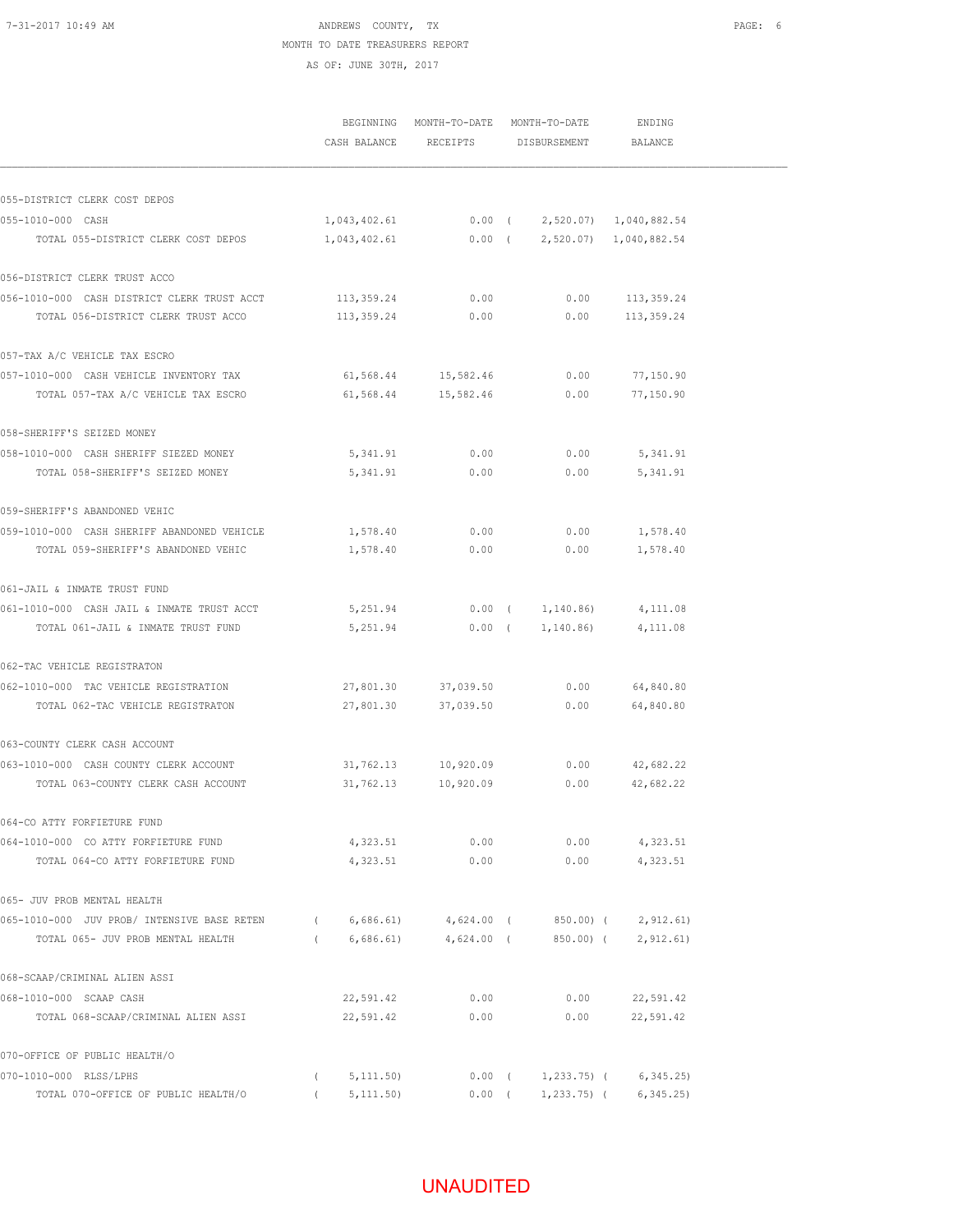### 7-31-2017 10:49 AM **PAGE:** 6 MONTH TO DATE TREASURERS REPORT AS OF: JUNE 30TH, 2017

|                                             |          |              | BEGINNING MONTH-TO-DATE MONTH-TO-DATE<br>CASH BALANCE RECEIPTS DISBURSEMENT                  |                    | ENDING<br>BALANCE |  |
|---------------------------------------------|----------|--------------|----------------------------------------------------------------------------------------------|--------------------|-------------------|--|
| 055-DISTRICT CLERK COST DEPOS               |          |              |                                                                                              |                    |                   |  |
| 055-1010-000 CASH                           |          |              |                                                                                              |                    |                   |  |
| TOTAL 055-DISTRICT CLERK COST DEPOS         |          |              | $1,043,402.61$ 0.00 ( 2,520.07) 1,040,882.54<br>$1,043,402.61$ 0.00 ( 2,520.07) 1,040,882.54 |                    |                   |  |
|                                             |          |              |                                                                                              |                    |                   |  |
| 056-DISTRICT CLERK TRUST ACCO               |          |              |                                                                                              |                    |                   |  |
| 056-1010-000 CASH DISTRICT CLERK TRUST ACCT |          | 113,359.24   | 0.00                                                                                         | 0.00               | 113,359.24        |  |
| TOTAL 056-DISTRICT CLERK TRUST ACCO         |          | 113,359.24   | 0.00                                                                                         | 0.00               | 113,359.24        |  |
| 057-TAX A/C VEHICLE TAX ESCRO               |          |              |                                                                                              |                    |                   |  |
| 057-1010-000 CASH VEHICLE INVENTORY TAX     |          |              | 61,568.44 15,582.46                                                                          | 0.00               | 77,150.90         |  |
| TOTAL 057-TAX A/C VEHICLE TAX ESCRO         |          | 61,568.44    | 15,582.46                                                                                    | 0.00               | 77,150.90         |  |
| 058-SHERIFF'S SEIZED MONEY                  |          |              |                                                                                              |                    |                   |  |
| 058-1010-000 CASH SHERIFF SIEZED MONEY      |          |              | 5,341.91 0.00                                                                                | 0.00               | 5,341.91          |  |
| TOTAL 058-SHERIFF'S SEIZED MONEY            |          |              | 0.00<br>5, 341.91                                                                            | 0.00               | 5,341.91          |  |
| 059-SHERIFF'S ABANDONED VEHIC               |          |              |                                                                                              |                    |                   |  |
| 059-1010-000 CASH SHERIFF ABANDONED VEHICLE |          | 1,578.40     | 0.00                                                                                         | 0.00               | 1,578.40          |  |
| TOTAL 059-SHERIFF'S ABANDONED VEHIC         |          | 1,578.40     | 0.00                                                                                         | 0.00               | 1,578.40          |  |
| 061-JAIL & INMATE TRUST FUND                |          |              |                                                                                              |                    |                   |  |
| 061-1010-000 CASH JAIL & INMATE TRUST ACCT  |          | 5,251.94     |                                                                                              | $0.00$ ( 1,140.86) | 4,111.08          |  |
| TOTAL 061-JAIL & INMATE TRUST FUND          |          | 5,251.94     | $0.00$ (                                                                                     | 1,140.86)          | 4,111.08          |  |
| 062-TAC VEHICLE REGISTRATON                 |          |              |                                                                                              |                    |                   |  |
| 062-1010-000 TAC VEHICLE REGISTRATION       |          |              | 27,801.30 37,039.50                                                                          | 0.00               | 64,840.80         |  |
| TOTAL 062-TAC VEHICLE REGISTRATON           |          | 27,801.30    | 37,039.50                                                                                    | 0.00               | 64,840.80         |  |
| 063-COUNTY CLERK CASH ACCOUNT               |          |              |                                                                                              |                    |                   |  |
| 063-1010-000 CASH COUNTY CLERK ACCOUNT      |          | 31,762.13    | 10,920.09                                                                                    | 0.00               | 42,682.22         |  |
| TOTAL 063-COUNTY CLERK CASH ACCOUNT         |          | 31,762.13    | 10,920.09                                                                                    | 0.00               | 42,682.22         |  |
| 064-CO ATTY FORFIETURE FUND                 |          |              |                                                                                              |                    |                   |  |
| 064-1010-000 CO ATTY FORFIETURE FUND        |          | 4,323.51     | 0.00                                                                                         | 0.00               | 4,323.51          |  |
| TOTAL 064-CO ATTY FORFIETURE FUND           |          | 4,323.51     | 0.00                                                                                         | 0.00               | 4,323.51          |  |
| 065- JUV PROB MENTAL HEALTH                 |          |              |                                                                                              |                    |                   |  |
| 065-1010-000 JUV PROB/ INTENSIVE BASE RETEN |          | (6, 686, 61) | 4,624.00 (850.00) (                                                                          |                    | 2,912.61)         |  |
| TOTAL 065- JUV PROB MENTAL HEALTH           |          | (6, 686.61)  | $4,624.00$ (                                                                                 | 850.00) (          | 2,912.61          |  |
| 068-SCAAP/CRIMINAL ALIEN ASSI               |          |              |                                                                                              |                    |                   |  |
| 068-1010-000 SCAAP CASH                     |          | 22,591.42    | 0.00                                                                                         | 0.00               | 22,591.42         |  |
| TOTAL 068-SCAAP/CRIMINAL ALIEN ASSI         |          | 22,591.42    | 0.00                                                                                         | 0.00               | 22,591.42         |  |
| 070-OFFICE OF PUBLIC HEALTH/O               |          |              |                                                                                              |                    |                   |  |
| 070-1010-000 RLSS/LPHS                      | $\left($ | 5, 111.50)   | $0.00$ (                                                                                     | 1,233.75) (        | 6, 345.25)        |  |
| TOTAL 070-OFFICE OF PUBLIC HEALTH/O         |          | 5, 111.50    | 0.00(                                                                                        | 1,233.75) (        | 6,345.25)         |  |

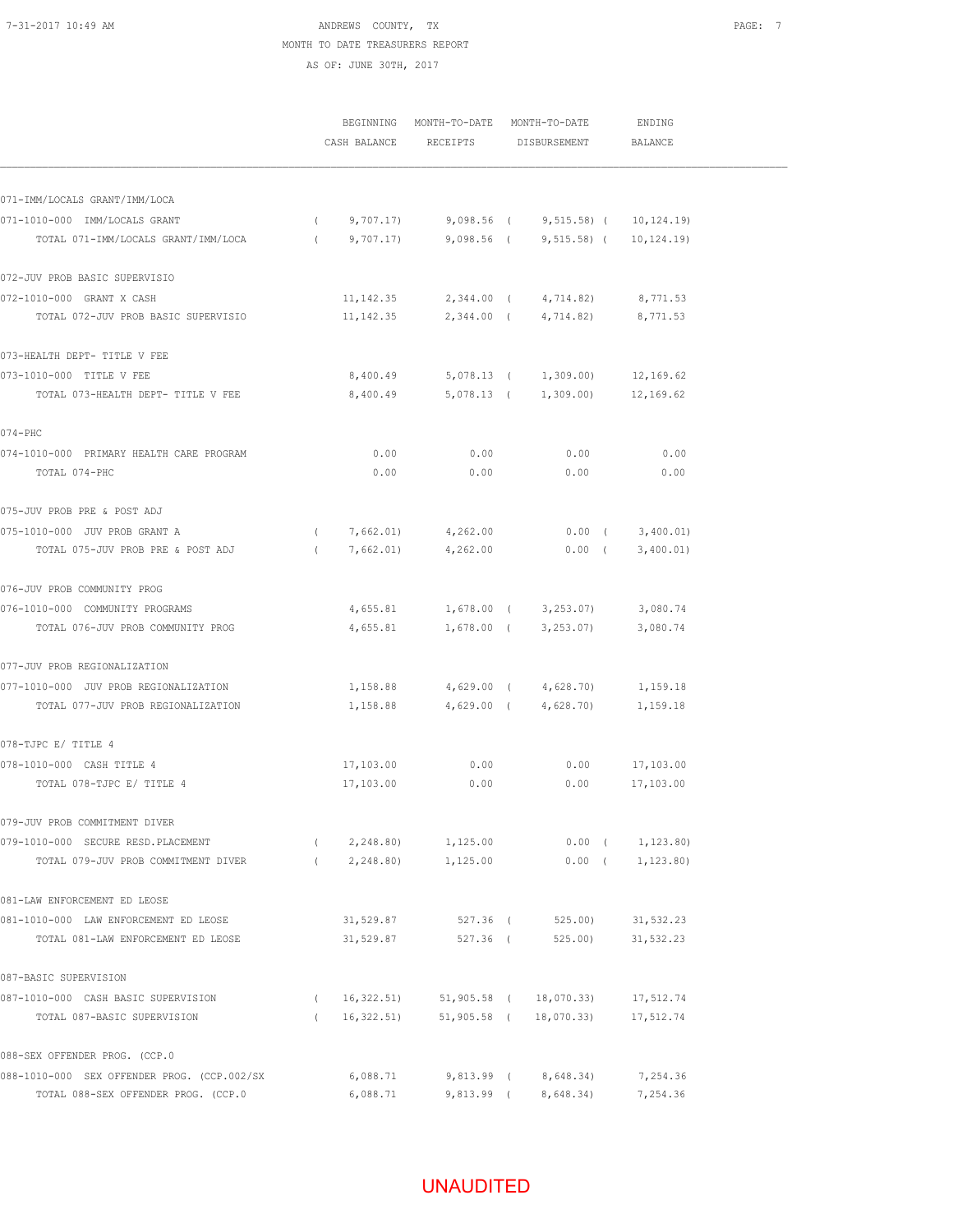### 7-31-2017 10:49 AM ANDREWS COUNTY, TX PAGE: 7 MONTH TO DATE TREASURERS REPORT AS OF: JUNE 30TH, 2017

|                                             |            | CASH BALANCE | BEGINNING MONTH-TO-DATE MONTH-TO-DATE<br>RECEIPTS | DISBURSEMENT                                       | ENDING<br><b>BALANCE</b> |  |
|---------------------------------------------|------------|--------------|---------------------------------------------------|----------------------------------------------------|--------------------------|--|
| 071-IMM/LOCALS GRANT/IMM/LOCA               |            |              |                                                   |                                                    |                          |  |
| 071-1010-000 IMM/LOCALS GRANT               | $\sqrt{2}$ |              |                                                   | 9,707.17) 9,098.56 ( 9,515.58) ( 10,124.19)        |                          |  |
| TOTAL 071-IMM/LOCALS GRANT/IMM/LOCA         |            |              |                                                   | $(9,707.17)$ $9,098.56$ $(9,515.58)$ $(10,124.19)$ |                          |  |
| 072-JUV PROB BASIC SUPERVISIO               |            |              |                                                   |                                                    |                          |  |
| 072-1010-000 GRANT X CASH                   |            | 11, 142.35   |                                                   | 2,344.00 ( 4,714.82)                               | 8,771.53                 |  |
| TOTAL 072-JUV PROB BASIC SUPERVISIO         |            | 11, 142.35   |                                                   | 2,344.00 ( 4,714.82)                               | 8,771.53                 |  |
| 073-HEALTH DEPT- TITLE V FEE                |            |              |                                                   |                                                    |                          |  |
| 073-1010-000 TITLE V FEE                    |            |              |                                                   | 8,400.49 5,078.13 ( 1,309.00) 12,169.62            |                          |  |
| TOTAL 073-HEALTH DEPT- TITLE V FEE          |            |              |                                                   | 8,400.49 5,078.13 ( 1,309.00) 12,169.62            |                          |  |
| 074-PHC                                     |            |              |                                                   |                                                    |                          |  |
| 074-1010-000 PRIMARY HEALTH CARE PROGRAM    |            | 0.00         | 0.00                                              | 0.00                                               | 0.00                     |  |
| TOTAL 074-PHC                               |            | 0.00         | 0.00                                              | 0.00                                               | 0.00                     |  |
| 075-JUV PROB PRE & POST ADJ                 |            |              |                                                   |                                                    |                          |  |
| 075-1010-000 JUV PROB GRANT A               |            | (7,662.01)   | 4,262.00                                          |                                                    | $0.00$ ( $3,400.01$ )    |  |
| TOTAL 075-JUV PROB PRE & POST ADJ           | $\left($   | 7,662.01)    | 4,262.00                                          |                                                    | $0.00$ ( $3,400.01$ )    |  |
| 076-JUV PROB COMMUNITY PROG                 |            |              |                                                   |                                                    |                          |  |
| 076-1010-000 COMMUNITY PROGRAMS             |            |              |                                                   | 4,655.81 1,678.00 ( 3,253.07) 3,080.74             |                          |  |
| TOTAL 076-JUV PROB COMMUNITY PROG           |            |              |                                                   | 4,655.81 1,678.00 ( 3,253.07)                      | 3,080.74                 |  |
| 077-JUV PROB REGIONALIZATION                |            |              |                                                   |                                                    |                          |  |
| 077-1010-000 JUV PROB REGIONALIZATION       |            |              |                                                   | 1,158.88 4,629.00 ( 4,628.70) 1,159.18             |                          |  |
| TOTAL 077-JUV PROB REGIONALIZATION          |            | 1,158.88     |                                                   | 4,629.00 ( 4,628.70) 1,159.18                      |                          |  |
| 078-TJPC E/ TITLE 4                         |            |              |                                                   |                                                    |                          |  |
| 078-1010-000 CASH TITLE 4                   |            | 17,103.00    | 0.00                                              | 0.00                                               | 17,103.00                |  |
| TOTAL 078-TJPC E/ TITLE 4                   |            | 17,103.00    | 0.00                                              | 0.00                                               | 17,103.00                |  |
| 079-JUV PROB COMMITMENT DIVER               |            |              |                                                   |                                                    |                          |  |
| 079-1010-000 SECURE RESD. PLACEMENT         |            | (2, 248.80)  | 1,125.00                                          |                                                    | $0.00$ ( $1,123.80$ )    |  |
| TOTAL 079-JUV PROB COMMITMENT DIVER         |            | (2, 248.80)  | 1,125.00                                          |                                                    | $0.00$ ( $1,123.80$ )    |  |
| 081-LAW ENFORCEMENT ED LEOSE                |            |              |                                                   |                                                    |                          |  |
| 081-1010-000 LAW ENFORCEMENT ED LEOSE       |            | 31,529.87    | 527.36 (                                          | 525.00)                                            | 31,532.23                |  |
| TOTAL 081-LAW ENFORCEMENT ED LEOSE          |            | 31,529.87    | 527.36 (                                          | 525.00)                                            | 31,532.23                |  |
| 087-BASIC SUPERVISION                       |            |              |                                                   |                                                    |                          |  |
| 087-1010-000 CASH BASIC SUPERVISION         |            | (16, 322.51) |                                                   | 51,905.58 ( 18,070.33)                             | 17,512.74                |  |
| TOTAL 087-BASIC SUPERVISION                 | $\left($   | 16,322.51)   |                                                   | 51,905.58 ( 18,070.33)                             | 17,512.74                |  |
| 088-SEX OFFENDER PROG. (CCP.0               |            |              |                                                   |                                                    |                          |  |
| 088-1010-000 SEX OFFENDER PROG. (CCP.002/SX |            | 6,088.71     |                                                   | 9,813.99 ( 8,648.34)                               | 7,254.36                 |  |
| TOTAL 088-SEX OFFENDER PROG. (CCP.0         |            | 6,088.71     |                                                   | 9,813.99 (8,648.34) 7,254.36                       |                          |  |